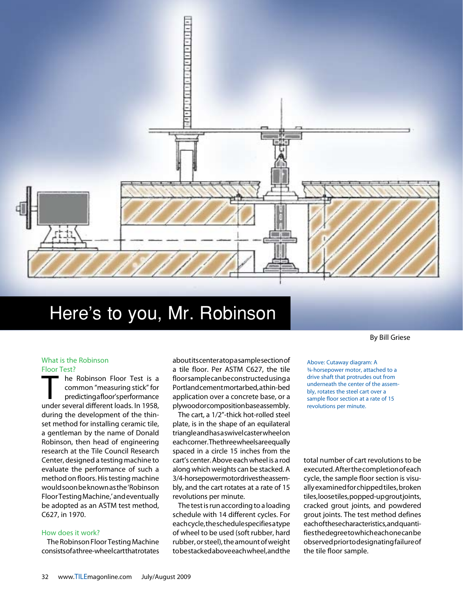

# Here's to you, Mr. Robinson

## By Bill Griese

#### What is the Robinson Floor Test?

The Robinson Floor Test is a<br>common "measuring stick" for<br>predicting afloor's performance common "measuring stick" for predicting a floor's performance under several different loads. In 1958, during the development of the thinset method for installing ceramic tile, a gentleman by the name of Donald Robinson, then head of engineering research at the Tile Council Research Center, designed a testing machine to evaluate the performance of such a method on floors. His testing machine would soon be known as the 'Robinson Floor Testing Machine,' and eventually be adopted as an ASTM test method, C627, in 1970.

## How does it work?

The Robinson Floor Testing Machine consists of a three-wheel cart that rotates about its center atop a sample section of a tile floor. Per ASTM C627, the tile floor sample can be constructed using a Portland cement mortar bed, a thin-bed application over a concrete base, or a plywood or composition base assembly.

The cart, a 1/2"-thick hot-rolled steel plate, is in the shape of an equilateral triangle and has a swivel caster wheel on each corner. The three wheels are equally spaced in a circle 15 inches from the cart's center. Above each wheel is a rod along which weights can be stacked. A 3/4-horsepower motor drives the assembly, and the cart rotates at a rate of 15 revolutions per minute.

The test is run according to a loading schedule with 14 different cycles. For each cycle, the schedule specifies a type of wheel to be used (soft rubber, hard rubber, or steel), the amount of weight to be stacked above each wheel, and the

Above: Cutaway diagram: A ¾-horsepower motor, attached to a drive shaft that protrudes out from underneath the center of the assembly, rotates the steel cart over a sample floor section at a rate of 15 revolutions per minute.

total number of cart revolutions to be executed. After the completion of each cycle, the sample floor section is visually examined for chipped tiles, broken tiles, loose tiles, popped-up grout joints, cracked grout joints, and powdered grout joints. The test method defines each of these characteristics, and quantifies the degree to which each one can be observed prior to designating failure of the tile floor sample.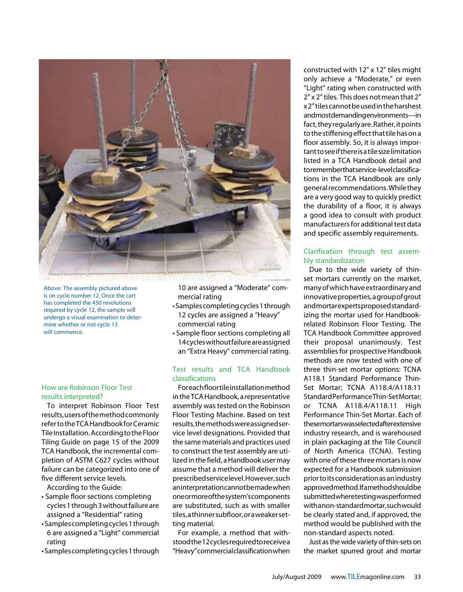

Above: The assembly pictured above is on cycle number 12. Once the cart has completed the 450 revolutions required by cycle 12, the sample will undergo a visual examination to determine whether or not cycle 13 will commence.

## How are Robinson Floor Test results interpreted?

To interpret Robinson Floor Test results, users of the method commonly refer to the TCA Handbook for Ceramic Tile Installation. According to the Floor Tiling Guide on page 15 of the 2009 TCA Handbook, the incremental completion of ASTM C627 cycles without failure can be categorized into one of five different service levels.

According to the Guide:

- Sample floor sections completing cycles 1 through 3 without failure are assigned a "Residential" rating
- Samples completing cycles 1 through 6 are assigned a "Light" commercial rating
- Samples completing cycles 1 through

10 are assigned a "Moderate" commercial rating

- Samples completing cycles 1 through 12 cycles are assigned a "Heavy" commercial rating
- Sample floor sections completing all 14 cycles without failure are assigned an "Extra Heavy" commercial rating.

## Test results and TCA Handbook classifications

For each floor tile installation method in the TCA Handbook, a representative assembly was tested on the Robinson Floor Testing Machine. Based on test results, the methods were assigned service level designations. Provided that the same materials and practices used to construct the test assembly are utilized in the field, a Handbook user may assume that a method will deliver the prescribed service level. However, such an interpretation cannot be made when one or more of the system's components are substituted, such as with smaller tiles, a thinner subfloor, or a weaker setting material.

For example, a method that withstood the 12 cycles required to receive a "Heavy" commercial classification when

constructed with 12" x 12" tiles might only achieve a "Moderate," or even "Light" rating when constructed with 2" x 2" tiles. This does not mean that 2" x 2" tiles cannot be used in the harshest and most demanding environments—in fact, they regularly are. Rather, it points to the stiffening effect that tile has on a floor assembly. So, it is always important to see if there is a tile size limitation listed in a TCA Handbook detail and to remember that service-level classifications in the TCA Handbook are only general recommendations. While they are a very good way to quickly predict the durability of a floor, it is always a good idea to consult with product manufacturers for additional test data and specific assembly requirements.

## Clarification through test assembly standardization

Due to the wide variety of thinset mortars currently on the market, many of which have extraordinary and innovative properties, a group of grout and mortar experts proposed standardizing the mortar used for Handbookrelated Robinson Floor Testing. The TCA Handbook Committee approved their proposal unanimously. Test assemblies for prospective Handbook methods are now tested with one of three thin-set mortar options: TCNA A118.1 Standard Performance Thin-Set Mortar; TCNA A118.4/A118.11 Standard Performance Thin-Set Mortar; or TCNA A118.4/A118.11 High Performance Thin-Set Mortar. Each of these mortars was selected after extensive industry research, and is warehoused in plain packaging at the Tile Council of North America (TCNA). Testing with one of these three mortars is now expected for a Handbook submission prior to its consideration as an industry approved method. If a method should be submitted where testing was performed with a non-standard mortar, such would be clearly stated and, if approved, the method would be published with the non-standard aspects noted.

Just as the wide variety of thin-sets on the market spurred grout and mortar